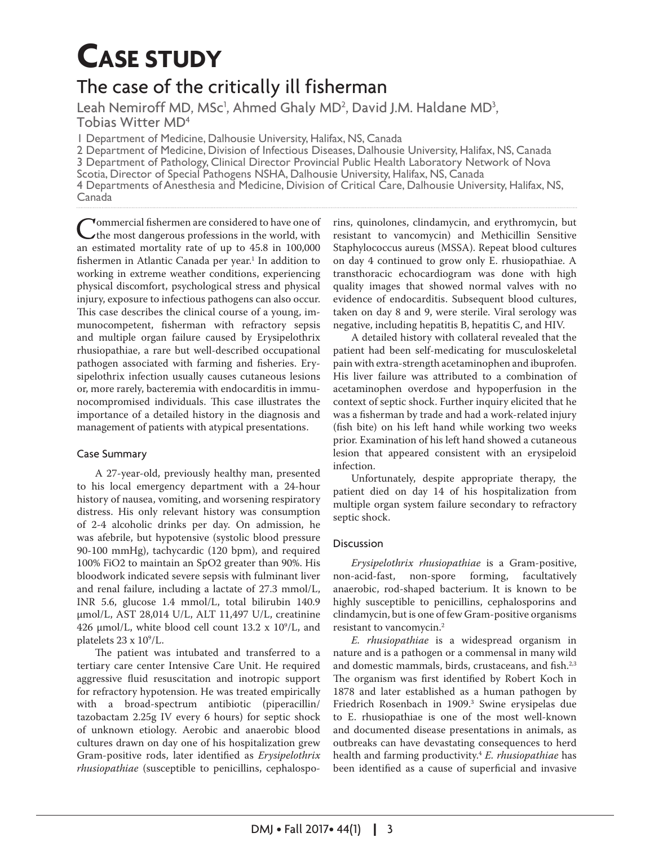# **CASE STUDY**

# The case of the critically ill fisherman

Leah Nemiroff MD, MSc<sup>1</sup>, Ahmed Ghaly MD<sup>2</sup>, David J.M. Haldane MD<sup>3</sup>,<br>Tobias Witter MD<sup>4</sup>

1 Department of Medicine, Dalhousie University, Halifax, NS, Canada

2 Department of Medicine, Division of Infectious Diseases, Dalhousie University, Halifax, NS, Canada 3 Department of Pathology, Clinical Director Provincial Public Health Laboratory Network of Nova Scotia, Director of Special Pathogens NSHA, Dalhousie University, Halifax, NS, Canada 4 Departments of Anesthesia and Medicine, Division of Critical Care, Dalhousie University, Halifax, NS, Canada

Commercial fishermen are considered to have one of<br>the most dangerous professions in the world, with<br>an estimated mortality rate of up to 45.8 in 100,000 an estimated mortality rate of up to 45.8 in 100,000 fishermen in Atlantic Canada per year.<sup>1</sup> In addition to working in extreme weather conditions, experiencing physical discomfort, psychological stress and physical injury, exposure to infectious pathogens can also occur. This case describes the clinical course of a young, immunocompetent, fsherman with refractory sepsis and multiple organ failure caused by Erysipelothrix rhusiopathiae, a rare but well-described occupational pathogen associated with farming and fsheries. Erysipelothrix infection usually causes cutaneous lesions or, more rarely, bacteremia with endocarditis in immunocompromised individuals. This case illustrates the importance of a detailed history in the diagnosis and management of patients with atypical presentations.

## Case Summary

A 27-year-old, previously healthy man, presented to his local emergency department with a 24-hour history of nausea, vomiting, and worsening respiratory distress. His only relevant history was consumption of 2-4 alcoholic drinks per day. On admission, he was afebrile, but hypotensive (systolic blood pressure 90-100 mmHg), tachycardic (120 bpm), and required 100% FiO2 to maintain an SpO2 greater than 90%. His bloodwork indicated severe sepsis with fulminant liver and renal failure, including a lactate of 27.3 mmol/L, INR 5.6, glucose 1.4 mmol/L, total bilirubin 140.9 µmol/L, AST 28,014 U/L, ALT 11,497 U/L, creatinine 426  $\mu$ mol/L, white blood cell count 13.2 x 10<sup>9</sup>/L, and platelets 23 x 10<sup>9</sup>/L.

The patient was intubated and transferred to a tertiary care center Intensive Care Unit. He required aggressive fuid resuscitation and inotropic support for refractory hypotension. He was treated empirically with a broad-spectrum antibiotic (piperacillin/ tazobactam 2.25g IV every 6 hours) for septic shock of unknown etiology. Aerobic and anaerobic blood cultures drawn on day one of his hospitalization grew Gram-positive rods, later identifed as *Erysipelothrix rhusiopathiae* (susceptible to penicillins, cephalosporins, quinolones, clindamycin, and erythromycin, but resistant to vancomycin) and Methicillin Sensitive Staphylococcus aureus (MSSA). Repeat blood cultures on day 4 continued to grow only E. rhusiopathiae. A transthoracic echocardiogram was done with high quality images that showed normal valves with no evidence of endocarditis. Subsequent blood cultures, taken on day 8 and 9, were sterile. Viral serology was negative, including hepatitis B, hepatitis C, and HIV.

A detailed history with collateral revealed that the patient had been self-medicating for musculoskeletal pain with extra-strength acetaminophen and ibuprofen. His liver failure was attributed to a combination of acetaminophen overdose and hypoperfusion in the context of septic shock. Further inquiry elicited that he was a fsherman by trade and had a work-related injury (fsh bite) on his left hand while working two weeks prior. Examination of his left hand showed a cutaneous lesion that appeared consistent with an erysipeloid infection.

Unfortunately, despite appropriate therapy, the patient died on day 14 of his hospitalization from multiple organ system failure secondary to refractory septic shock.

## **Discussion**

*Erysipelothrix rhusiopathiae* is a Gram-positive, non-spore forming, anaerobic, rod-shaped bacterium. It is known to be highly susceptible to penicillins, cephalosporins and clindamycin, but is one of few Gram-positive organisms resistant to vancomycin.2

*E. rhusiopathiae* is a widespread organism in nature and is a pathogen or a commensal in many wild and domestic mammals, birds, crustaceans, and fish.<sup>2,3</sup> The organism was first identified by Robert Koch in 1878 and later established as a human pathogen by Friedrich Rosenbach in 1909.3 Swine erysipelas due to E. rhusiopathiae is one of the most well-known and documented disease presentations in animals, as outbreaks can have devastating consequences to herd health and farming productivity.4 *E. rhusiopathiae* has been identified as a cause of superficial and invasive